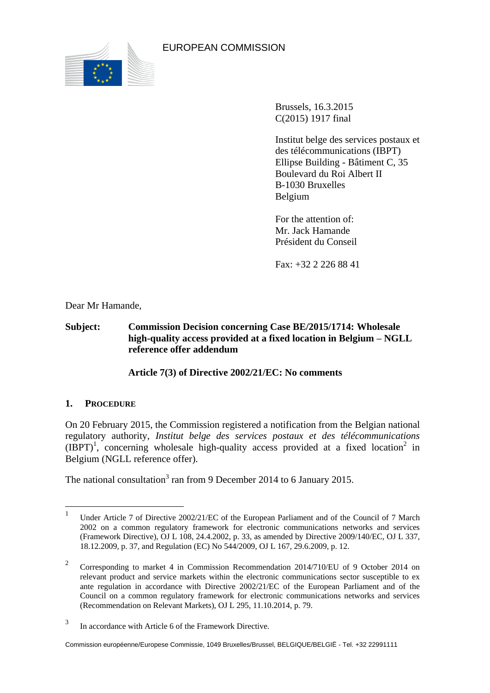

EUROPEAN COMMISSION

Brussels, 16.3.2015 C(2015) 1917 final

Institut belge des services postaux et des télécommunications (IBPT) Ellipse Building - Bâtiment C, 35 Boulevard du Roi Albert II B-1030 Bruxelles Belgium

For the attention of: Mr. Jack Hamande Président du Conseil

Fax: +32 2 226 88 41

Dear Mr Hamande,

**Subject: Commission Decision concerning Case BE/2015/1714: Wholesale high-quality access provided at a fixed location in Belgium – NGLL reference offer addendum**

**Article 7(3) of Directive 2002/21/EC: No comments**

# **1. PROCEDURE**

On 20 February 2015, the Commission registered a notification from the Belgian national regulatory authority, *Institut belge des services postaux et des télécommunications*  $(IBPT)^1$ , concerning wholesale high-quality access provided at a fixed location<sup>2</sup> in Belgium (NGLL reference offer).

The national consultation<sup>3</sup> ran from 9 December 2014 to 6 January 2015.

 $\frac{1}{1}$ Under Article 7 of Directive 2002/21/EC of the European Parliament and of the Council of 7 March 2002 on a common regulatory framework for electronic communications networks and services (Framework Directive), OJ L 108, 24.4.2002, p. 33, as amended by Directive 2009/140/EC, OJ L 337, 18.12.2009, p. 37, and Regulation (EC) No 544/2009, OJ L 167, 29.6.2009, p. 12.

<sup>2</sup> Corresponding to market 4 in Commission Recommendation 2014/710/EU of 9 October 2014 on relevant product and service markets within the electronic communications sector susceptible to ex ante regulation in accordance with Directive 2002/21/EC of the European Parliament and of the Council on a common regulatory framework for electronic communications networks and services (Recommendation on Relevant Markets), OJ L 295, 11.10.2014, p. 79.

<sup>3</sup> In accordance with Article 6 of the Framework Directive.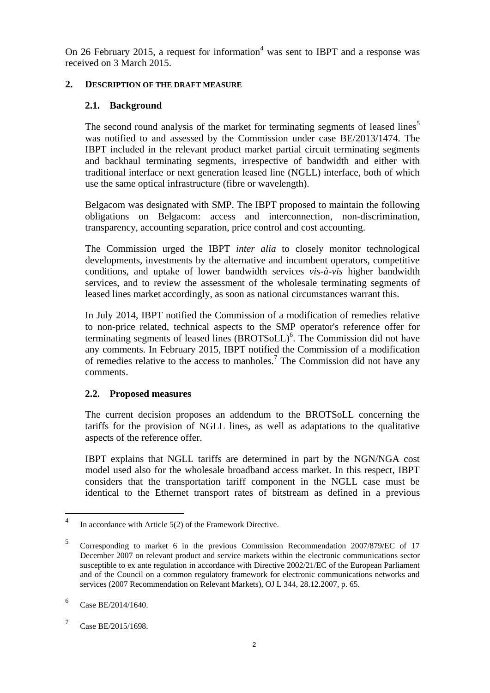On 26 February 2015, a request for information<sup>4</sup> was sent to IBPT and a response was received on 3 March 2015.

### **2. DESCRIPTION OF THE DRAFT MEASURE**

## **2.1. Background**

The second round analysis of the market for terminating segments of leased lines<sup>5</sup> was notified to and assessed by the Commission under case BE/2013/1474. The IBPT included in the relevant product market partial circuit terminating segments and backhaul terminating segments, irrespective of bandwidth and either with traditional interface or next generation leased line (NGLL) interface, both of which use the same optical infrastructure (fibre or wavelength).

Belgacom was designated with SMP. The IBPT proposed to maintain the following obligations on Belgacom: access and interconnection, non-discrimination, transparency, accounting separation, price control and cost accounting.

The Commission urged the IBPT *inter alia* to closely monitor technological developments, investments by the alternative and incumbent operators, competitive conditions, and uptake of lower bandwidth services *vis-à-vis* higher bandwidth services, and to review the assessment of the wholesale terminating segments of leased lines market accordingly, as soon as national circumstances warrant this.

In July 2014, IBPT notified the Commission of a modification of remedies relative to non-price related, technical aspects to the SMP operator's reference offer for terminating segments of leased lines (BROTSoLL)<sup>6</sup>. The Commission did not have any comments. In February 2015, IBPT notified the Commission of a modification of remedies relative to the access to manholes.<sup>7</sup> The Commission did not have any comments.

# **2.2. Proposed measures**

The current decision proposes an addendum to the BROTSoLL concerning the tariffs for the provision of NGLL lines, as well as adaptations to the qualitative aspects of the reference offer.

IBPT explains that NGLL tariffs are determined in part by the NGN/NGA cost model used also for the wholesale broadband access market. In this respect, IBPT considers that the transportation tariff component in the NGLL case must be identical to the Ethernet transport rates of bitstream as defined in a previous

 $\frac{1}{4}$ In accordance with Article 5(2) of the Framework Directive.

<sup>5</sup> Corresponding to market 6 in the previous Commission Recommendation 2007/879/EC of 17 December 2007 on relevant product and service markets within the electronic communications sector susceptible to ex ante regulation in accordance with Directive 2002/21/EC of the European Parliament and of the Council on a common regulatory framework for electronic communications networks and services (2007 Recommendation on Relevant Markets), OJ L 344, 28.12.2007, p. 65.

<sup>6</sup> Case BE/2014/1640.

<sup>7</sup> Case BE/2015/1698.